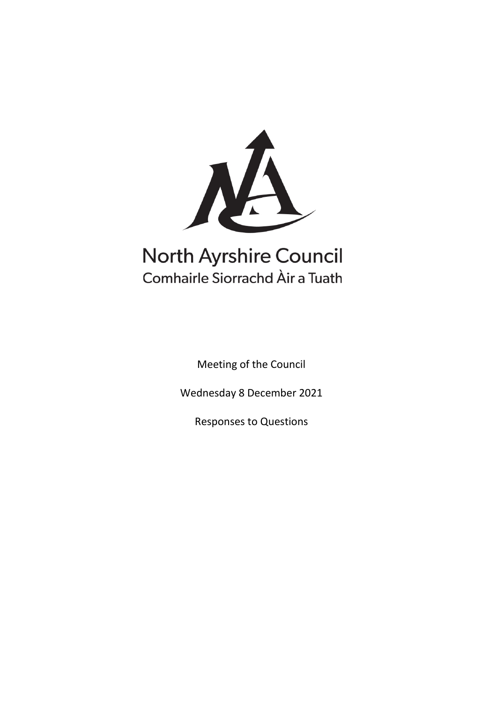

# **North Ayrshire Council** Comhairle Siorrachd Àir a Tuath

Meeting of the Council

Wednesday 8 December 2021

Responses to Questions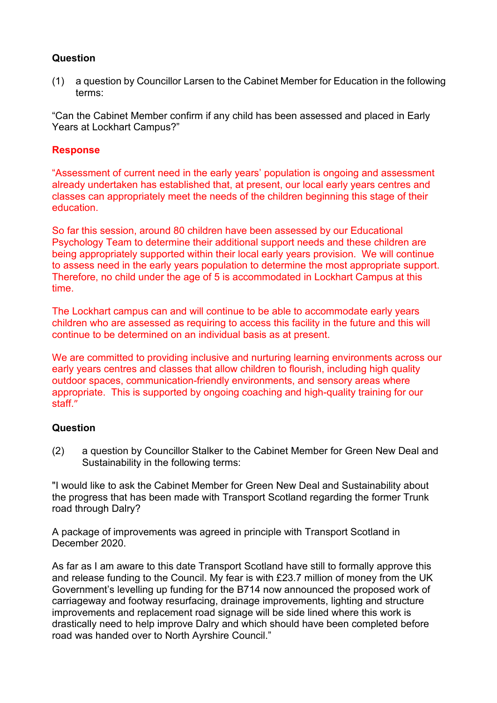(1) a question by Councillor Larsen to the Cabinet Member for Education in the following terms:

"Can the Cabinet Member confirm if any child has been assessed and placed in Early Years at Lockhart Campus?"

# **Response**

"Assessment of current need in the early years' population is ongoing and assessment already undertaken has established that, at present, our local early years centres and classes can appropriately meet the needs of the children beginning this stage of their education.

So far this session, around 80 children have been assessed by our Educational Psychology Team to determine their additional support needs and these children are being appropriately supported within their local early years provision. We will continue to assess need in the early years population to determine the most appropriate support. Therefore, no child under the age of 5 is accommodated in Lockhart Campus at this time.

The Lockhart campus can and will continue to be able to accommodate early years children who are assessed as requiring to access this facility in the future and this will continue to be determined on an individual basis as at present.

We are committed to providing inclusive and nurturing learning environments across our early years centres and classes that allow children to flourish, including high quality outdoor spaces, communication-friendly environments, and sensory areas where appropriate. This is supported by ongoing coaching and high-quality training for our staff."

# **Question**

(2) a question by Councillor Stalker to the Cabinet Member for Green New Deal and Sustainability in the following terms:

"I would like to ask the Cabinet Member for Green New Deal and Sustainability about the progress that has been made with Transport Scotland regarding the former Trunk road through Dalry?

A package of improvements was agreed in principle with Transport Scotland in December 2020.

As far as I am aware to this date Transport Scotland have still to formally approve this and release funding to the Council. My fear is with £23.7 million of money from the UK Government's levelling up funding for the B714 now announced the proposed work of carriageway and footway resurfacing, drainage improvements, lighting and structure improvements and replacement road signage will be side lined where this work is drastically need to help improve Dalry and which should have been completed before road was handed over to North Ayrshire Council."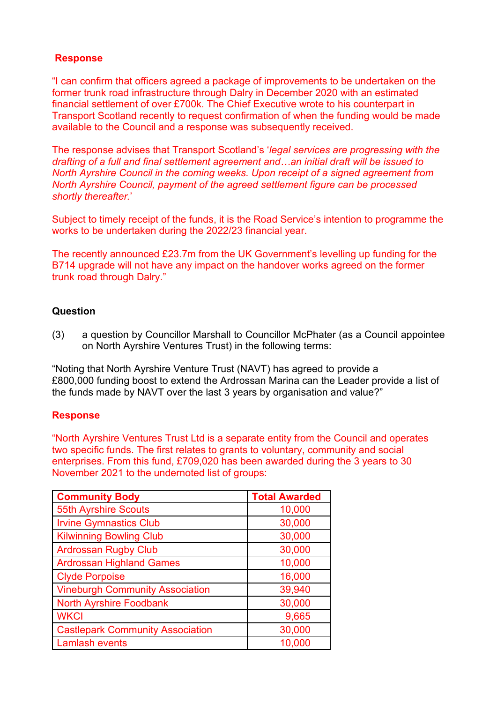# **Response**

"I can confirm that officers agreed a package of improvements to be undertaken on the former trunk road infrastructure through Dalry in December 2020 with an estimated financial settlement of over £700k. The Chief Executive wrote to his counterpart in Transport Scotland recently to request confirmation of when the funding would be made available to the Council and a response was subsequently received.

The response advises that Transport Scotland's '*legal services are progressing with the drafting of a full and final settlement agreement and…an initial draft will be issued to North Ayrshire Council in the coming weeks. Upon receipt of a signed agreement from North Ayrshire Council, payment of the agreed settlement figure can be processed shortly thereafter.*'

Subject to timely receipt of the funds, it is the Road Service's intention to programme the works to be undertaken during the 2022/23 financial year.

The recently announced £23.7m from the UK Government's levelling up funding for the B714 upgrade will not have any impact on the handover works agreed on the former trunk road through Dalry."

# **Question**

(3) a question by Councillor Marshall to Councillor McPhater (as a Council appointee on North Ayrshire Ventures Trust) in the following terms:

"Noting that North Ayrshire Venture Trust (NAVT) has agreed to provide a £800,000 funding boost to extend the Ardrossan Marina can the Leader provide a list of the funds made by NAVT over the last 3 years by organisation and value?"

# **Response**

"North Ayrshire Ventures Trust Ltd is a separate entity from the Council and operates two specific funds. The first relates to grants to voluntary, community and social enterprises. From this fund, £709,020 has been awarded during the 3 years to 30 November 2021 to the undernoted list of groups:

| <b>Community Body</b>                   | <b>Total Awarded</b> |
|-----------------------------------------|----------------------|
| <b>55th Ayrshire Scouts</b>             | 10,000               |
| <b>Irvine Gymnastics Club</b>           | 30,000               |
| <b>Kilwinning Bowling Club</b>          | 30,000               |
| <b>Ardrossan Rugby Club</b>             | 30,000               |
| <b>Ardrossan Highland Games</b>         | 10,000               |
| <b>Clyde Porpoise</b>                   | 16,000               |
| <b>Vineburgh Community Association</b>  | 39,940               |
| <b>North Ayrshire Foodbank</b>          | 30,000               |
| <b>WKCI</b>                             | 9,665                |
| <b>Castlepark Community Association</b> | 30,000               |
| <b>Lamlash events</b>                   | 10,000               |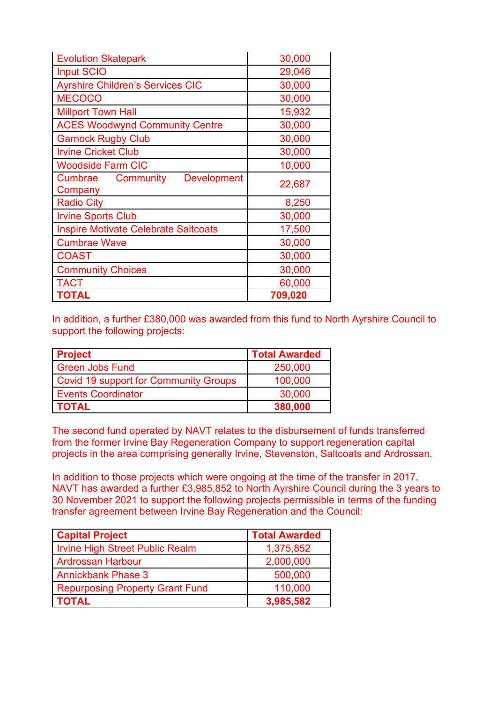| <b>Evolution Skatepark</b>                                | 30,000  |  |  |
|-----------------------------------------------------------|---------|--|--|
| <b>Input SCIO</b>                                         | 29,046  |  |  |
| <b>Ayrshire Children's Services CIC</b>                   | 30,000  |  |  |
| <b>MECOCO</b>                                             | 30,000  |  |  |
| <b>Millport Town Hall</b>                                 | 15,932  |  |  |
| <b>ACES Woodwynd Community Centre</b>                     | 30,000  |  |  |
| <b>Garnock Rugby Club</b>                                 | 30,000  |  |  |
| <b>Irvine Cricket Club</b>                                | 30,000  |  |  |
| <b>Woodside Farm CIC</b>                                  | 10,000  |  |  |
| <b>Cumbrae Community</b><br><b>Development</b><br>Company | 22,687  |  |  |
| <b>Radio City</b>                                         | 8,250   |  |  |
| <b>Irvine Sports Club</b>                                 | 30,000  |  |  |
| <b>Inspire Motivate Celebrate Saltcoats</b>               | 17,500  |  |  |
| <b>Cumbrae Wave</b>                                       | 30,000  |  |  |
| <b>COAST</b>                                              | 30,000  |  |  |
| <b>Community Choices</b>                                  | 30,000  |  |  |
| <b>TACT</b>                                               | 60,000  |  |  |
| <b>TOTAL</b>                                              | 709,020 |  |  |

In addition, a further £380,000 was awarded from this fund to North Ayrshire Council to support the following projects:

| <b>Project</b>                               | <b>Total Awarded</b> |
|----------------------------------------------|----------------------|
| <b>Green Jobs Fund</b>                       | 250,000              |
| <b>Covid 19 support for Community Groups</b> | 100,000              |
| <b>Events Coordinator</b>                    | 30,000               |
| <b>TOTAL</b>                                 | 380,000              |

The second fund operated by NAVT relates to the disbursement of funds transferred from the former Irvine Bay Regeneration Company to support regeneration capital projects in the area comprising generally Irvine, Stevenston, Saltcoats and Ardrossan.

In addition to those projects which were ongoing at the time of the transfer in 2017, NAVT has awarded a further £3,985,852 to North Ayrshire Council during the 3 years to 30 November 2021 to support the following projects permissible in terms of the funding transfer agreement between Irvine Bay Regeneration and the Council:

| <b>Capital Project</b>                 | <b>Total Awarded</b> |
|----------------------------------------|----------------------|
| <b>Irvine High Street Public Realm</b> | 1,375,852            |
| <b>Ardrossan Harbour</b>               | 2,000,000            |
| <b>Annickbank Phase 3</b>              | 500,000              |
| <b>Repurposing Property Grant Fund</b> | 110,000              |
| <b>TOTAL</b>                           | 3,985,582            |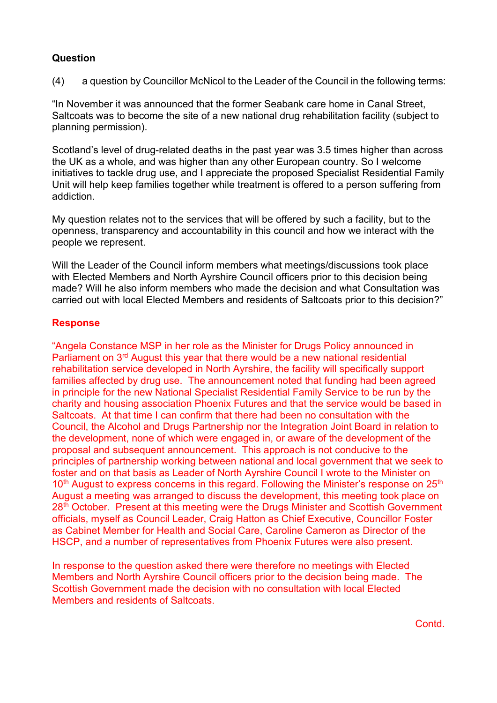(4) a question by Councillor McNicol to the Leader of the Council in the following terms:

"In November it was announced that the former Seabank care home in Canal Street, Saltcoats was to become the site of a new national drug rehabilitation facility (subject to planning permission).

Scotland's level of drug-related deaths in the past year was 3.5 times higher than across the UK as a whole, and was higher than any other European country. So I welcome initiatives to tackle drug use, and I appreciate the proposed Specialist Residential Family Unit will help keep families together while treatment is offered to a person suffering from addiction.

My question relates not to the services that will be offered by such a facility, but to the openness, transparency and accountability in this council and how we interact with the people we represent.

Will the Leader of the Council inform members what meetings/discussions took place with Elected Members and North Ayrshire Council officers prior to this decision being made? Will he also inform members who made the decision and what Consultation was carried out with local Elected Members and residents of Saltcoats prior to this decision?"

# **Response**

"Angela Constance MSP in her role as the Minister for Drugs Policy announced in Parliament on 3<sup>rd</sup> August this year that there would be a new national residential rehabilitation service developed in North Ayrshire, the facility will specifically support families affected by drug use. The announcement noted that funding had been agreed in principle for the new National Specialist Residential Family Service to be run by the charity and housing association Phoenix Futures and that the service would be based in Saltcoats. At that time I can confirm that there had been no consultation with the Council, the Alcohol and Drugs Partnership nor the Integration Joint Board in relation to the development, none of which were engaged in, or aware of the development of the proposal and subsequent announcement. This approach is not conducive to the principles of partnership working between national and local government that we seek to foster and on that basis as Leader of North Ayrshire Council I wrote to the Minister on  $10<sup>th</sup>$  August to express concerns in this regard. Following the Minister's response on  $25<sup>th</sup>$ August a meeting was arranged to discuss the development, this meeting took place on 28<sup>th</sup> October. Present at this meeting were the Drugs Minister and Scottish Government officials, myself as Council Leader, Craig Hatton as Chief Executive, Councillor Foster as Cabinet Member for Health and Social Care, Caroline Cameron as Director of the HSCP, and a number of representatives from Phoenix Futures were also present.

In response to the question asked there were therefore no meetings with Elected Members and North Ayrshire Council officers prior to the decision being made. The Scottish Government made the decision with no consultation with local Elected Members and residents of Saltcoats.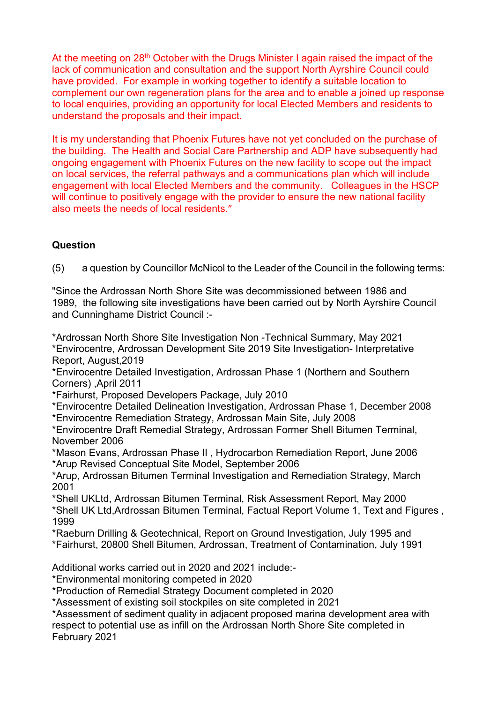At the meeting on  $28<sup>th</sup>$  October with the Drugs Minister I again raised the impact of the lack of communication and consultation and the support North Ayrshire Council could have provided. For example in working together to identify a suitable location to complement our own regeneration plans for the area and to enable a joined up response to local enquiries, providing an opportunity for local Elected Members and residents to understand the proposals and their impact.

It is my understanding that Phoenix Futures have not yet concluded on the purchase of the building. The Health and Social Care Partnership and ADP have subsequently had ongoing engagement with Phoenix Futures on the new facility to scope out the impact on local services, the referral pathways and a communications plan which will include engagement with local Elected Members and the community. Colleagues in the HSCP will continue to positively engage with the provider to ensure the new national facility also meets the needs of local residents."

# **Question**

(5) a question by Councillor McNicol to the Leader of the Council in the following terms:

"Since the Ardrossan North Shore Site was decommissioned between 1986 and 1989, the following site investigations have been carried out by North Ayrshire Council and Cunninghame District Council :-

\*Ardrossan North Shore Site Investigation Non -Technical Summary, May 2021 \*Envirocentre, Ardrossan Development Site 2019 Site Investigation- Interpretative Report, August,2019

\*Envirocentre Detailed Investigation, Ardrossan Phase 1 (Northern and Southern Corners) ,April 2011

\*Fairhurst, Proposed Developers Package, July 2010

\*Envirocentre Detailed Delineation Investigation, Ardrossan Phase 1, December 2008 \*Envirocentre Remediation Strategy, Ardrossan Main Site, July 2008

\*Envirocentre Draft Remedial Strategy, Ardrossan Former Shell Bitumen Terminal, November 2006

\*Mason Evans, Ardrossan Phase II , Hydrocarbon Remediation Report, June 2006 \*Arup Revised Conceptual Site Model, September 2006

\*Arup, Ardrossan Bitumen Terminal Investigation and Remediation Strategy, March 2001

\*Shell UKLtd, Ardrossan Bitumen Terminal, Risk Assessment Report, May 2000

\*Shell UK Ltd,Ardrossan Bitumen Terminal, Factual Report Volume 1, Text and Figures , 1999

\*Raeburn Drilling & Geotechnical, Report on Ground Investigation, July 1995 and

\*Fairhurst, 20800 Shell Bitumen, Ardrossan, Treatment of Contamination, July 1991

Additional works carried out in 2020 and 2021 include:-

\*Environmental monitoring competed in 2020

\*Production of Remedial Strategy Document completed in 2020

\*Assessment of existing soil stockpiles on site completed in 2021

\*Assessment of sediment quality in adjacent proposed marina development area with respect to potential use as infill on the Ardrossan North Shore Site completed in

February 2021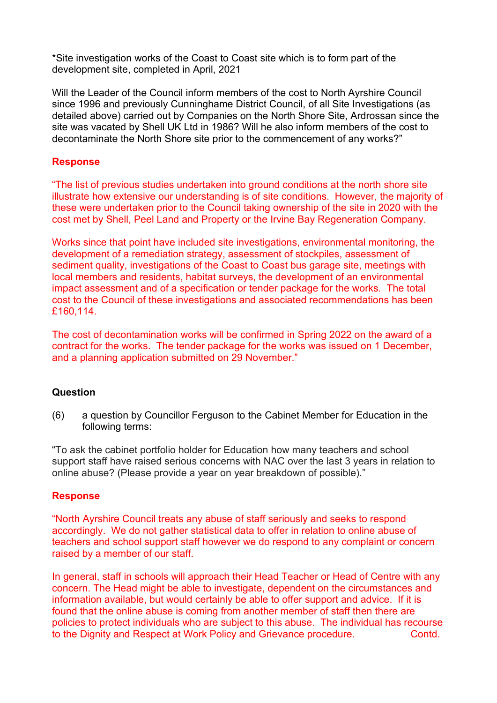\*Site investigation works of the Coast to Coast site which is to form part of the development site, completed in April, 2021

Will the Leader of the Council inform members of the cost to North Ayrshire Council since 1996 and previously Cunninghame District Council, of all Site Investigations (as detailed above) carried out by Companies on the North Shore Site, Ardrossan since the site was vacated by Shell UK Ltd in 1986? Will he also inform members of the cost to decontaminate the North Shore site prior to the commencement of any works?"

# **Response**

"The list of previous studies undertaken into ground conditions at the north shore site illustrate how extensive our understanding is of site conditions. However, the majority of these were undertaken prior to the Council taking ownership of the site in 2020 with the cost met by Shell, Peel Land and Property or the Irvine Bay Regeneration Company.

Works since that point have included site investigations, environmental monitoring, the development of a remediation strategy, assessment of stockpiles, assessment of sediment quality, investigations of the Coast to Coast bus garage site, meetings with local members and residents, habitat surveys, the development of an environmental impact assessment and of a specification or tender package for the works. The total cost to the Council of these investigations and associated recommendations has been £160,114.

The cost of decontamination works will be confirmed in Spring 2022 on the award of a contract for the works. The tender package for the works was issued on 1 December, and a planning application submitted on 29 November."

# **Question**

(6) a question by Councillor Ferguson to the Cabinet Member for Education in the following terms:

"To ask the cabinet portfolio holder for Education how many teachers and school support staff have raised serious concerns with NAC over the last 3 years in relation to online abuse? (Please provide a year on year breakdown of possible)."

# **Response**

"North Ayrshire Council treats any abuse of staff seriously and seeks to respond accordingly. We do not gather statistical data to offer in relation to online abuse of teachers and school support staff however we do respond to any complaint or concern raised by a member of our staff.

In general, staff in schools will approach their Head Teacher or Head of Centre with any concern. The Head might be able to investigate, dependent on the circumstances and information available, but would certainly be able to offer support and advice. If it is found that the online abuse is coming from another member of staff then there are policies to protect individuals who are subject to this abuse. The individual has recourse to the Dignity and Respect at Work Policy and Grievance procedure. Contd.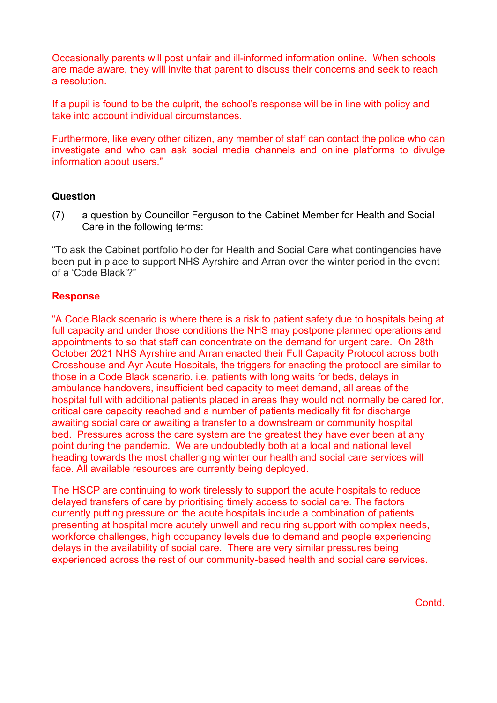Occasionally parents will post unfair and ill-informed information online. When schools are made aware, they will invite that parent to discuss their concerns and seek to reach a resolution.

If a pupil is found to be the culprit, the school's response will be in line with policy and take into account individual circumstances.

Furthermore, like every other citizen, any member of staff can contact the police who can investigate and who can ask social media channels and online platforms to divulge information about users."

# **Question**

(7) a question by Councillor Ferguson to the Cabinet Member for Health and Social Care in the following terms:

"To ask the Cabinet portfolio holder for Health and Social Care what contingencies have been put in place to support NHS Ayrshire and Arran over the winter period in the event of a 'Code Black'?"

#### **Response**

"A Code Black scenario is where there is a risk to patient safety due to hospitals being at full capacity and under those conditions the NHS may postpone planned operations and appointments to so that staff can concentrate on the demand for urgent care. On 28th October 2021 NHS Ayrshire and Arran enacted their Full Capacity Protocol across both Crosshouse and Ayr Acute Hospitals, the triggers for enacting the protocol are similar to those in a Code Black scenario, i.e. patients with long waits for beds, delays in ambulance handovers, insufficient bed capacity to meet demand, all areas of the hospital full with additional patients placed in areas they would not normally be cared for, critical care capacity reached and a number of patients medically fit for discharge awaiting social care or awaiting a transfer to a downstream or community hospital bed. Pressures across the care system are the greatest they have ever been at any point during the pandemic. We are undoubtedly both at a local and national level heading towards the most challenging winter our health and social care services will face. All available resources are currently being deployed.

The HSCP are continuing to work tirelessly to support the acute hospitals to reduce delayed transfers of care by prioritising timely access to social care. The factors currently putting pressure on the acute hospitals include a combination of patients presenting at hospital more acutely unwell and requiring support with complex needs, workforce challenges, high occupancy levels due to demand and people experiencing delays in the availability of social care. There are very similar pressures being experienced across the rest of our community-based health and social care services.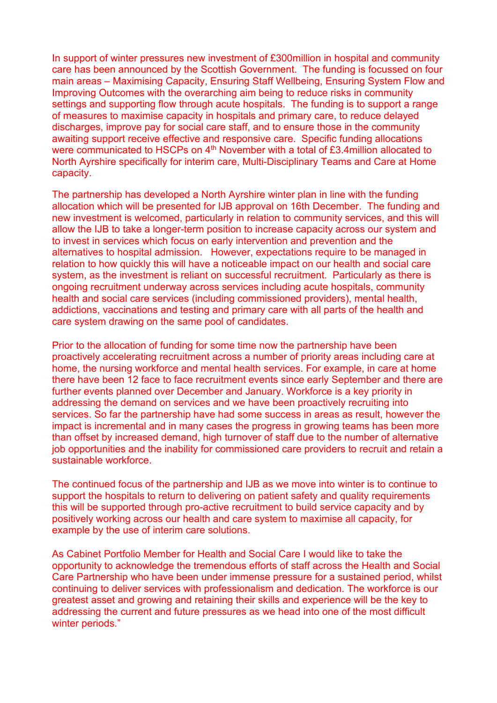In support of winter pressures new investment of £300million in hospital and community care has been announced by the Scottish Government. The funding is focussed on four main areas – Maximising Capacity, Ensuring Staff Wellbeing, Ensuring System Flow and Improving Outcomes with the overarching aim being to reduce risks in community settings and supporting flow through acute hospitals. The funding is to support a range of measures to maximise capacity in hospitals and primary care, to reduce delayed discharges, improve pay for social care staff, and to ensure those in the community awaiting support receive effective and responsive care. Specific funding allocations were communicated to HSCPs on 4<sup>th</sup> November with a total of £3.4million allocated to North Ayrshire specifically for interim care, Multi-Disciplinary Teams and Care at Home capacity.

The partnership has developed a North Ayrshire winter plan in line with the funding allocation which will be presented for IJB approval on 16th December. The funding and new investment is welcomed, particularly in relation to community services, and this will allow the IJB to take a longer-term position to increase capacity across our system and to invest in services which focus on early intervention and prevention and the alternatives to hospital admission. However, expectations require to be managed in relation to how quickly this will have a noticeable impact on our health and social care system, as the investment is reliant on successful recruitment. Particularly as there is ongoing recruitment underway across services including acute hospitals, community health and social care services (including commissioned providers), mental health, addictions, vaccinations and testing and primary care with all parts of the health and care system drawing on the same pool of candidates.

Prior to the allocation of funding for some time now the partnership have been proactively accelerating recruitment across a number of priority areas including care at home, the nursing workforce and mental health services. For example, in care at home there have been 12 face to face recruitment events since early September and there are further events planned over December and January. Workforce is a key priority in addressing the demand on services and we have been proactively recruiting into services. So far the partnership have had some success in areas as result, however the impact is incremental and in many cases the progress in growing teams has been more than offset by increased demand, high turnover of staff due to the number of alternative job opportunities and the inability for commissioned care providers to recruit and retain a sustainable workforce.

The continued focus of the partnership and IJB as we move into winter is to continue to support the hospitals to return to delivering on patient safety and quality requirements this will be supported through pro-active recruitment to build service capacity and by positively working across our health and care system to maximise all capacity, for example by the use of interim care solutions.

As Cabinet Portfolio Member for Health and Social Care I would like to take the opportunity to acknowledge the tremendous efforts of staff across the Health and Social Care Partnership who have been under immense pressure for a sustained period, whilst continuing to deliver services with professionalism and dedication. The workforce is our greatest asset and growing and retaining their skills and experience will be the key to addressing the current and future pressures as we head into one of the most difficult winter periods."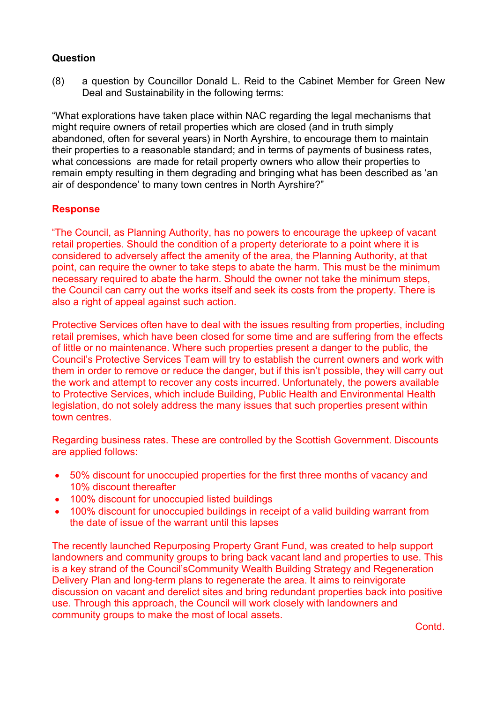(8) a question by Councillor Donald L. Reid to the Cabinet Member for Green New Deal and Sustainability in the following terms:

"What explorations have taken place within NAC regarding the legal mechanisms that might require owners of retail properties which are closed (and in truth simply abandoned, often for several years) in North Ayrshire, to encourage them to maintain their properties to a reasonable standard; and in terms of payments of business rates, what concessions are made for retail property owners who allow their properties to remain empty resulting in them degrading and bringing what has been described as 'an air of despondence' to many town centres in North Ayrshire?"

# **Response**

"The Council, as Planning Authority, has no powers to encourage the upkeep of vacant retail properties. Should the condition of a property deteriorate to a point where it is considered to adversely affect the amenity of the area, the Planning Authority, at that point, can require the owner to take steps to abate the harm. This must be the minimum necessary required to abate the harm. Should the owner not take the minimum steps, the Council can carry out the works itself and seek its costs from the property. There is also a right of appeal against such action.

Protective Services often have to deal with the issues resulting from properties, including retail premises, which have been closed for some time and are suffering from the effects of little or no maintenance. Where such properties present a danger to the public, the Council's Protective Services Team will try to establish the current owners and work with them in order to remove or reduce the danger, but if this isn't possible, they will carry out the work and attempt to recover any costs incurred. Unfortunately, the powers available to Protective Services, which include Building, Public Health and Environmental Health legislation, do not solely address the many issues that such properties present within town centres.

Regarding business rates. These are controlled by the Scottish Government. Discounts are applied follows:

- 50% discount for unoccupied properties for the first three months of vacancy and 10% discount thereafter
- 100% discount for unoccupied listed buildings
- 100% discount for unoccupied buildings in receipt of a valid building warrant from the date of issue of the warrant until this lapses

The recently launched Repurposing Property Grant Fund, was created to help support landowners and community groups to bring back vacant land and properties to use. This is a key strand of the Council'sCommunity Wealth Building Strategy and Regeneration Delivery Plan and long-term plans to regenerate the area. It aims to reinvigorate discussion on vacant and derelict sites and bring redundant properties back into positive use. Through this approach, the Council will work closely with landowners and community groups to make the most of local assets.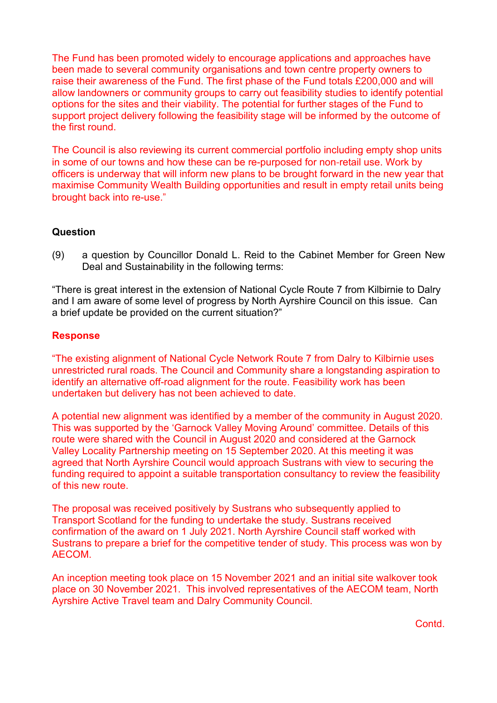The Fund has been promoted widely to encourage applications and approaches have been made to several community organisations and town centre property owners to raise their awareness of the Fund. The first phase of the Fund totals £200,000 and will allow landowners or community groups to carry out feasibility studies to identify potential options for the sites and their viability. The potential for further stages of the Fund to support project delivery following the feasibility stage will be informed by the outcome of the first round.

The Council is also reviewing its current commercial portfolio including empty shop units in some of our towns and how these can be re-purposed for non-retail use. Work by officers is underway that will inform new plans to be brought forward in the new year that maximise Community Wealth Building opportunities and result in empty retail units being brought back into re-use."

# **Question**

(9) a question by Councillor Donald L. Reid to the Cabinet Member for Green New Deal and Sustainability in the following terms:

"There is great interest in the extension of National Cycle Route 7 from Kilbirnie to Dalry and I am aware of some level of progress by North Ayrshire Council on this issue. Can a brief update be provided on the current situation?"

# **Response**

"The existing alignment of National Cycle Network Route 7 from Dalry to Kilbirnie uses unrestricted rural roads. The Council and Community share a longstanding aspiration to identify an alternative off-road alignment for the route. Feasibility work has been undertaken but delivery has not been achieved to date.

A potential new alignment was identified by a member of the community in August 2020. This was supported by the 'Garnock Valley Moving Around' committee. Details of this route were shared with the Council in August 2020 and considered at the Garnock Valley Locality Partnership meeting on 15 September 2020. At this meeting it was agreed that North Ayrshire Council would approach Sustrans with view to securing the funding required to appoint a suitable transportation consultancy to review the feasibility of this new route.

The proposal was received positively by Sustrans who subsequently applied to Transport Scotland for the funding to undertake the study. Sustrans received confirmation of the award on 1 July 2021. North Ayrshire Council staff worked with Sustrans to prepare a brief for the competitive tender of study. This process was won by AECOM.

An inception meeting took place on 15 November 2021 and an initial site walkover took place on 30 November 2021. This involved representatives of the AECOM team, North Ayrshire Active Travel team and Dalry Community Council.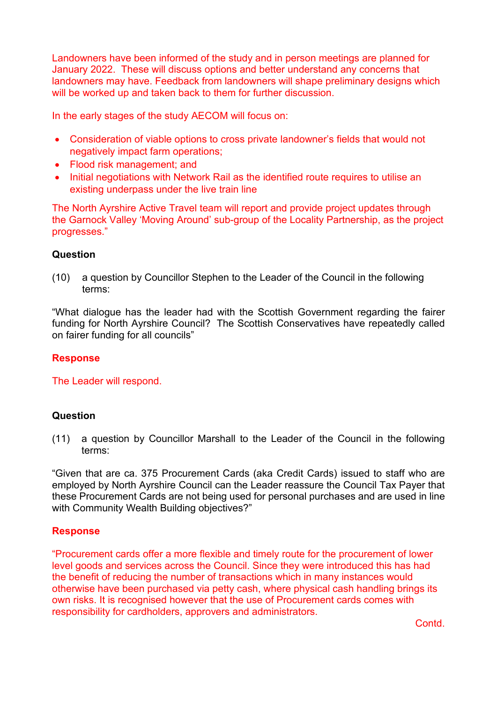Landowners have been informed of the study and in person meetings are planned for January 2022. These will discuss options and better understand any concerns that landowners may have. Feedback from landowners will shape preliminary designs which will be worked up and taken back to them for further discussion.

In the early stages of the study AECOM will focus on:

- Consideration of viable options to cross private landowner's fields that would not negatively impact farm operations;
- Flood risk management; and
- Initial negotiations with Network Rail as the identified route requires to utilise an existing underpass under the live train line

The North Ayrshire Active Travel team will report and provide project updates through the Garnock Valley 'Moving Around' sub-group of the Locality Partnership, as the project progresses."

# **Question**

(10) a question by Councillor Stephen to the Leader of the Council in the following terms:

"What dialogue has the leader had with the Scottish Government regarding the fairer funding for North Ayrshire Council? The Scottish Conservatives have repeatedly called on fairer funding for all councils"

# **Response**

The Leader will respond.

# **Question**

(11) a question by Councillor Marshall to the Leader of the Council in the following terms:

"Given that are ca. 375 Procurement Cards (aka Credit Cards) issued to staff who are employed by North Ayrshire Council can the Leader reassure the Council Tax Payer that these Procurement Cards are not being used for personal purchases and are used in line with Community Wealth Building objectives?"

# **Response**

"Procurement cards offer a more flexible and timely route for the procurement of lower level goods and services across the Council. Since they were introduced this has had the benefit of reducing the number of transactions which in many instances would otherwise have been purchased via petty cash, where physical cash handling brings its own risks. It is recognised however that the use of Procurement cards comes with responsibility for cardholders, approvers and administrators.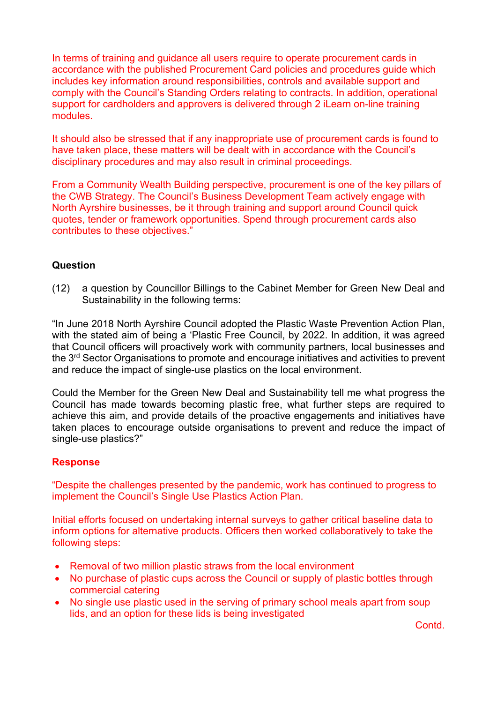In terms of training and guidance all users require to operate procurement cards in accordance with the published Procurement Card policies and procedures guide which includes key information around responsibilities, controls and available support and comply with the Council's Standing Orders relating to contracts. In addition, operational support for cardholders and approvers is delivered through 2 iLearn on-line training modules.

It should also be stressed that if any inappropriate use of procurement cards is found to have taken place, these matters will be dealt with in accordance with the Council's disciplinary procedures and may also result in criminal proceedings.

From a Community Wealth Building perspective, procurement is one of the key pillars of the CWB Strategy. The Council's Business Development Team actively engage with North Ayrshire businesses, be it through training and support around Council quick quotes, tender or framework opportunities. Spend through procurement cards also contributes to these objectives."

# **Question**

(12) a question by Councillor Billings to the Cabinet Member for Green New Deal and Sustainability in the following terms:

"In June 2018 North Ayrshire Council adopted the Plastic Waste Prevention Action Plan, with the stated aim of being a 'Plastic Free Council, by 2022. In addition, it was agreed that Council officers will proactively work with community partners, local businesses and the 3<sup>rd</sup> Sector Organisations to promote and encourage initiatives and activities to prevent and reduce the impact of single-use plastics on the local environment.

Could the Member for the Green New Deal and Sustainability tell me what progress the Council has made towards becoming plastic free, what further steps are required to achieve this aim, and provide details of the proactive engagements and initiatives have taken places to encourage outside organisations to prevent and reduce the impact of single-use plastics?"

# **Response**

"Despite the challenges presented by the pandemic, work has continued to progress to implement the Council's Single Use Plastics Action Plan.

Initial efforts focused on undertaking internal surveys to gather critical baseline data to inform options for alternative products. Officers then worked collaboratively to take the following steps:

- Removal of two million plastic straws from the local environment
- No purchase of plastic cups across the Council or supply of plastic bottles through commercial catering
- No single use plastic used in the serving of primary school meals apart from soup lids, and an option for these lids is being investigated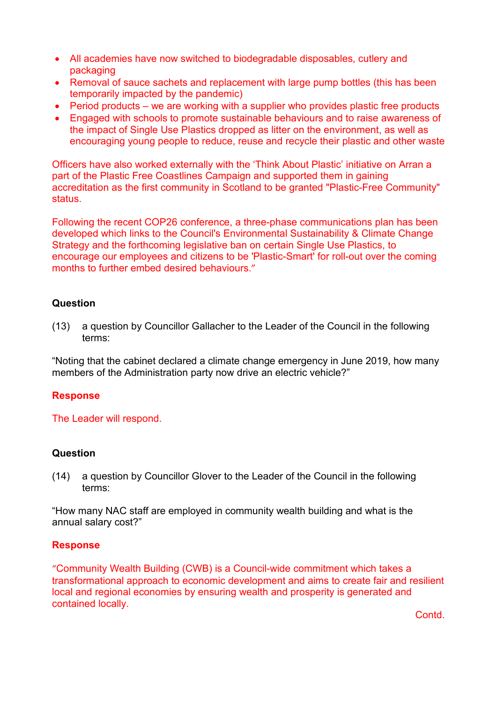- All academies have now switched to biodegradable disposables, cutlery and packaging
- Removal of sauce sachets and replacement with large pump bottles (this has been temporarily impacted by the pandemic)
- Period products we are working with a supplier who provides plastic free products
- Engaged with schools to promote sustainable behaviours and to raise awareness of the impact of Single Use Plastics dropped as litter on the environment, as well as encouraging young people to reduce, reuse and recycle their plastic and other waste

Officers have also worked externally with the 'Think About Plastic' initiative on Arran a part of the Plastic Free Coastlines Campaign and supported them in gaining accreditation as the first community in Scotland to be granted "Plastic-Free Community" status.

Following the recent COP26 conference, a three-phase communications plan has been developed which links to the Council's Environmental Sustainability & Climate Change Strategy and the forthcoming legislative ban on certain Single Use Plastics, to encourage our employees and citizens to be 'Plastic-Smart' for roll-out over the coming months to further embed desired behaviours."

# **Question**

(13) a question by Councillor Gallacher to the Leader of the Council in the following terms:

"Noting that the cabinet declared a climate change emergency in June 2019, how many members of the Administration party now drive an electric vehicle?"

# **Response**

The Leader will respond.

# **Question**

(14) a question by Councillor Glover to the Leader of the Council in the following terms:

"How many NAC staff are employed in community wealth building and what is the annual salary cost?"

# **Response**

"Community Wealth Building (CWB) is a Council-wide commitment which takes a transformational approach to economic development and aims to create fair and resilient local and regional economies by ensuring wealth and prosperity is generated and contained locally.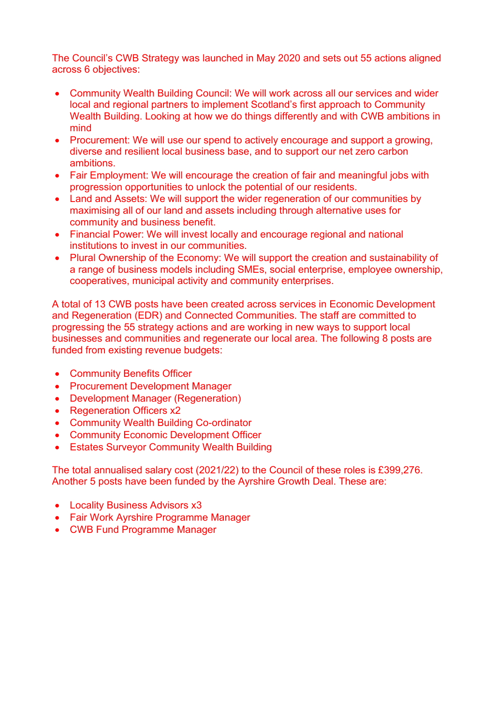The Council's CWB Strategy was launched in May 2020 and sets out 55 actions aligned across 6 objectives:

- Community Wealth Building Council: We will work across all our services and wider local and regional partners to implement Scotland's first approach to Community Wealth Building. Looking at how we do things differently and with CWB ambitions in mind
- Procurement: We will use our spend to actively encourage and support a growing, diverse and resilient local business base, and to support our net zero carbon ambitions.
- Fair Employment: We will encourage the creation of fair and meaningful jobs with progression opportunities to unlock the potential of our residents.
- Land and Assets: We will support the wider regeneration of our communities by maximising all of our land and assets including through alternative uses for community and business benefit.
- Financial Power: We will invest locally and encourage regional and national institutions to invest in our communities.
- Plural Ownership of the Economy: We will support the creation and sustainability of a range of business models including SMEs, social enterprise, employee ownership, cooperatives, municipal activity and community enterprises.

A total of 13 CWB posts have been created across services in Economic Development and Regeneration (EDR) and Connected Communities. The staff are committed to progressing the 55 strategy actions and are working in new ways to support local businesses and communities and regenerate our local area. The following 8 posts are funded from existing revenue budgets:

- Community Benefits Officer
- Procurement Development Manager
- Development Manager (Regeneration)
- Regeneration Officers x2
- Community Wealth Building Co-ordinator
- Community Economic Development Officer
- **Estates Surveyor Community Wealth Building**

The total annualised salary cost (2021/22) to the Council of these roles is £399,276. Another 5 posts have been funded by the Ayrshire Growth Deal. These are:

- Locality Business Advisors x3
- Fair Work Ayrshire Programme Manager
- CWB Fund Programme Manager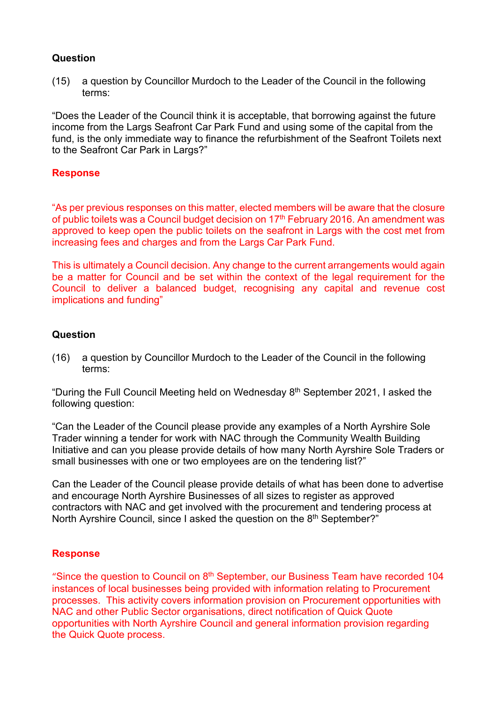(15) a question by Councillor Murdoch to the Leader of the Council in the following terms:

"Does the Leader of the Council think it is acceptable, that borrowing against the future income from the Largs Seafront Car Park Fund and using some of the capital from the fund, is the only immediate way to finance the refurbishment of the Seafront Toilets next to the Seafront Car Park in Largs?"

#### **Response**

"As per previous responses on this matter, elected members will be aware that the closure of public toilets was a Council budget decision on 17<sup>th</sup> February 2016. An amendment was approved to keep open the public toilets on the seafront in Largs with the cost met from increasing fees and charges and from the Largs Car Park Fund.

This is ultimately a Council decision. Any change to the current arrangements would again be a matter for Council and be set within the context of the legal requirement for the Council to deliver a balanced budget, recognising any capital and revenue cost implications and funding"

# **Question**

(16) a question by Councillor Murdoch to the Leader of the Council in the following terms:

"During the Full Council Meeting held on Wednesday 8th September 2021, I asked the following question:

"Can the Leader of the Council please provide any examples of a North Ayrshire Sole Trader winning a tender for work with NAC through the Community Wealth Building Initiative and can you please provide details of how many North Ayrshire Sole Traders or small businesses with one or two employees are on the tendering list?"

Can the Leader of the Council please provide details of what has been done to advertise and encourage North Ayrshire Businesses of all sizes to register as approved contractors with NAC and get involved with the procurement and tendering process at North Ayrshire Council, since I asked the question on the 8<sup>th</sup> September?"

# **Response**

"Since the question to Council on 8<sup>th</sup> September, our Business Team have recorded 104 instances of local businesses being provided with information relating to Procurement processes. This activity covers information provision on Procurement opportunities with NAC and other Public Sector organisations, direct notification of Quick Quote opportunities with North Ayrshire Council and general information provision regarding the Quick Quote process.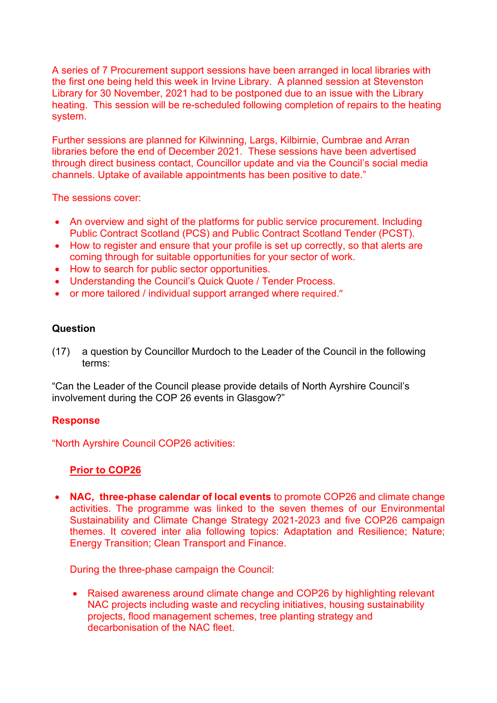A series of 7 Procurement support sessions have been arranged in local libraries with the first one being held this week in Irvine Library. A planned session at Stevenston Library for 30 November, 2021 had to be postponed due to an issue with the Library heating. This session will be re-scheduled following completion of repairs to the heating system.

Further sessions are planned for Kilwinning, Largs, Kilbirnie, Cumbrae and Arran libraries before the end of December 2021. These sessions have been advertised through direct business contact, Councillor update and via the Council's social media channels. Uptake of available appointments has been positive to date."

The sessions cover:

- An overview and sight of the platforms for public service procurement. Including Public Contract Scotland (PCS) and Public Contract Scotland Tender (PCST).
- How to register and ensure that your profile is set up correctly, so that alerts are coming through for suitable opportunities for your sector of work.
- How to search for public sector opportunities.
- Understanding the Council's Quick Quote / Tender Process.
- or more tailored / individual support arranged where required."

# **Question**

(17) a question by Councillor Murdoch to the Leader of the Council in the following terms:

"Can the Leader of the Council please provide details of North Ayrshire Council's involvement during the COP 26 events in Glasgow?"

# **Response**

"North Ayrshire Council COP26 activities:

# **Prior to COP26**

• **NAC, three-phase calendar of local events** to promote COP26 and climate change activities. The programme was linked to the seven themes of our Environmental Sustainability and Climate Change Strategy 2021-2023 and five COP26 campaign themes. It covered inter alia following topics: Adaptation and Resilience; Nature; Energy Transition; Clean Transport and Finance.

During the three-phase campaign the Council:

• Raised awareness around climate change and COP26 by highlighting relevant NAC projects including waste and recycling initiatives, housing sustainability projects, flood management schemes, tree planting strategy and decarbonisation of the NAC fleet.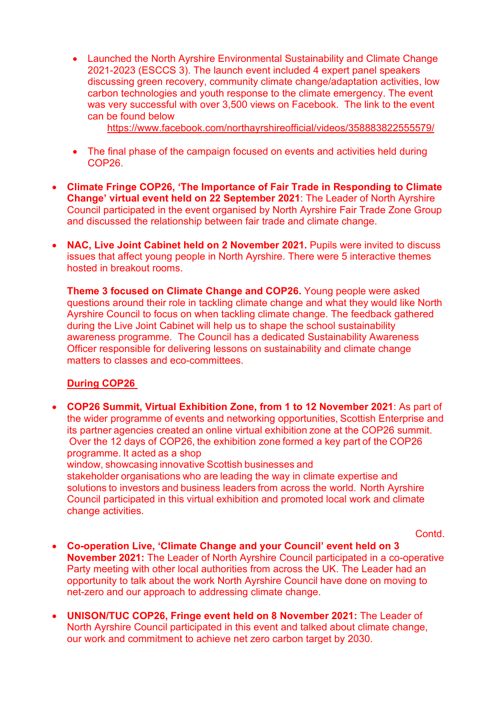• Launched the North Ayrshire Environmental Sustainability and Climate Change 2021-2023 (ESCCS 3). The launch event included 4 expert panel speakers discussing green recovery, community climate change/adaptation activities, low carbon technologies and youth response to the climate emergency. The event was very successful with over 3,500 views on Facebook. The link to the event can be found below

<https://www.facebook.com/northayrshireofficial/videos/358883822555579/>

- The final phase of the campaign focused on events and activities held during COP26.
- **Climate Fringe COP26, 'The Importance of Fair Trade in Responding to Climate Change' virtual event held on 22 September 2021**: The Leader of North Ayrshire Council participated in the event organised by North Ayrshire Fair Trade Zone Group and discussed the relationship between fair trade and climate change.
- **NAC, Live Joint Cabinet held on 2 November 2021.** Pupils were invited to discuss issues that affect young people in North Ayrshire. There were 5 interactive themes hosted in breakout rooms.

**Theme 3 focused on Climate Change and COP26.** Young people were asked questions around their role in tackling climate change and what they would like North Ayrshire Council to focus on when tackling climate change. The feedback gathered during the Live Joint Cabinet will help us to shape the school sustainability awareness programme. The Council has a dedicated Sustainability Awareness Officer responsible for delivering lessons on sustainability and climate change matters to classes and eco-committees.

# **During COP26**

• **COP26 Summit, Virtual Exhibition Zone, from 1 to 12 November 2021**: As part of the wider programme of events and networking opportunities, Scottish Enterprise and its partner agencies created an online virtual exhibition zone at the COP26 summit.  Over the 12 days of COP26, the exhibition zone formed a key part of the COP26 programme. It acted as a shop

window, showcasing innovative Scottish businesses and

stakeholder organisations who are leading the way in climate expertise and solutions to investors and business leaders from across the world.  North Ayrshire Council participated in this virtual exhibition and promoted local work and climate change activities.

- **Co-operation Live, 'Climate Change and your Council' event held on 3 November 2021:** The Leader of North Ayrshire Council participated in a co-operative Party meeting with other local authorities from across the UK. The Leader had an opportunity to talk about the work North Ayrshire Council have done on moving to net-zero and our approach to addressing climate change.
- **UNISON/TUC COP26, Fringe event held on 8 November 2021:** The Leader of North Ayrshire Council participated in this event and talked about climate change, our work and commitment to achieve net zero carbon target by 2030.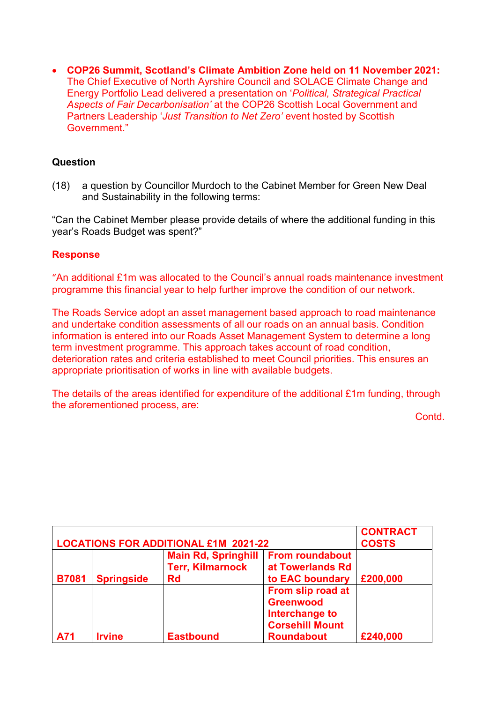• **COP26 Summit, Scotland's Climate Ambition Zone held on 11 November 2021:**  The Chief Executive of North Ayrshire Council and SOLACE Climate Change and Energy Portfolio Lead delivered a presentation on '*Political, Strategical Practical Aspects of Fair Decarbonisation'* at the COP26 Scottish Local Government and Partners Leadership '*Just Transition to Net Zero'* event hosted by Scottish Government."

# **Question**

(18) a question by Councillor Murdoch to the Cabinet Member for Green New Deal and Sustainability in the following terms:

"Can the Cabinet Member please provide details of where the additional funding in this year's Roads Budget was spent?"

# **Response**

"An additional £1m was allocated to the Council's annual roads maintenance investment programme this financial year to help further improve the condition of our network.

The Roads Service adopt an asset management based approach to road maintenance and undertake condition assessments of all our roads on an annual basis. Condition information is entered into our Roads Asset Management System to determine a long term investment programme. This approach takes account of road condition, deterioration rates and criteria established to meet Council priorities. This ensures an appropriate prioritisation of works in line with available budgets.

The details of the areas identified for expenditure of the additional £1m funding, through the aforementioned process, are:

| <b>LOCATIONS FOR ADDITIONAL £1M 2021-22</b> |                   |                                                       | <b>CONTRACT</b><br><b>COSTS</b>            |          |
|---------------------------------------------|-------------------|-------------------------------------------------------|--------------------------------------------|----------|
|                                             |                   | <b>Main Rd, Springhill</b><br><b>Terr, Kilmarnock</b> | <b>From roundabout</b><br>at Towerlands Rd |          |
| <b>B7081</b>                                | <b>Springside</b> | Rd                                                    | to EAC boundary                            | £200,000 |
|                                             |                   |                                                       | From slip road at                          |          |
|                                             |                   |                                                       | <b>Greenwood</b><br>Interchange to         |          |
|                                             |                   |                                                       | <b>Corsehill Mount</b>                     |          |
| A71                                         | <b>Irvine</b>     | <b>Eastbound</b>                                      | <b>Roundabout</b>                          | £240,000 |